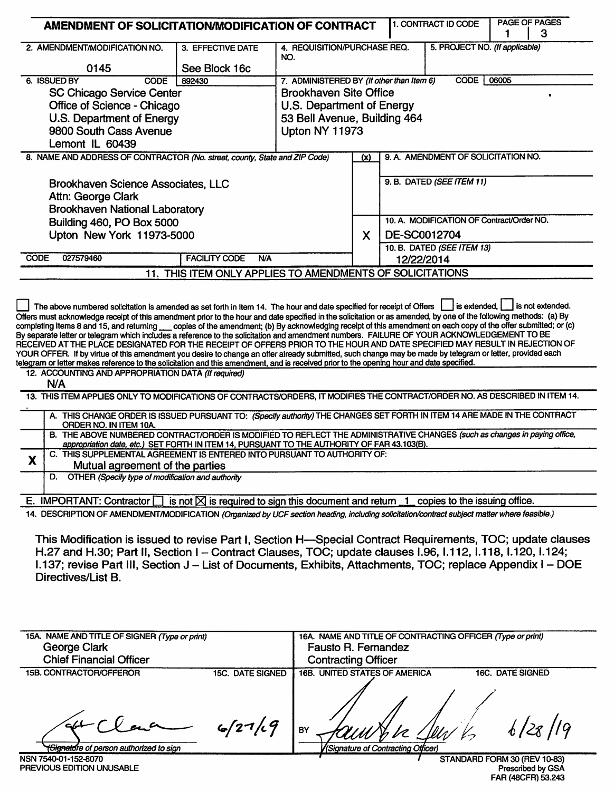| AMENDMENT OF SOLICITATION/MODIFICATION OF CONTRACT                                                                                                                                                                                                                                                                                                                                                                                                                                                                                                                                                                                                                                                                                                                                                                                                                                                                                                                                                                                                                                                                                                                                                                                                                                    |                                                           |                                           | 1. CONTRACT ID CODE                 | 1                                 | <b>PAGE OF PAGES</b><br>3                 |                         |  |
|---------------------------------------------------------------------------------------------------------------------------------------------------------------------------------------------------------------------------------------------------------------------------------------------------------------------------------------------------------------------------------------------------------------------------------------------------------------------------------------------------------------------------------------------------------------------------------------------------------------------------------------------------------------------------------------------------------------------------------------------------------------------------------------------------------------------------------------------------------------------------------------------------------------------------------------------------------------------------------------------------------------------------------------------------------------------------------------------------------------------------------------------------------------------------------------------------------------------------------------------------------------------------------------|-----------------------------------------------------------|-------------------------------------------|-------------------------------------|-----------------------------------|-------------------------------------------|-------------------------|--|
| 2. AMENDMENT/MODIFICATION NO.                                                                                                                                                                                                                                                                                                                                                                                                                                                                                                                                                                                                                                                                                                                                                                                                                                                                                                                                                                                                                                                                                                                                                                                                                                                         | 3. EFFECTIVE DATE                                         | 4. REQUISITION/PURCHASE REQ.              |                                     |                                   | 5. PROJECT NO. (If applicable)            |                         |  |
| 0145                                                                                                                                                                                                                                                                                                                                                                                                                                                                                                                                                                                                                                                                                                                                                                                                                                                                                                                                                                                                                                                                                                                                                                                                                                                                                  | See Block 16c                                             | NO.                                       |                                     |                                   |                                           |                         |  |
| 6. ISSUED BY<br><b>CODE</b>                                                                                                                                                                                                                                                                                                                                                                                                                                                                                                                                                                                                                                                                                                                                                                                                                                                                                                                                                                                                                                                                                                                                                                                                                                                           | 892430                                                    | 7. ADMINISTERED BY (If other than Item 6) |                                     |                                   | CODE                                      | 06005                   |  |
| <b>SC Chicago Service Center</b>                                                                                                                                                                                                                                                                                                                                                                                                                                                                                                                                                                                                                                                                                                                                                                                                                                                                                                                                                                                                                                                                                                                                                                                                                                                      |                                                           | <b>Brookhaven Site Office</b>             |                                     |                                   |                                           |                         |  |
| Office of Science - Chicago                                                                                                                                                                                                                                                                                                                                                                                                                                                                                                                                                                                                                                                                                                                                                                                                                                                                                                                                                                                                                                                                                                                                                                                                                                                           |                                                           | U.S. Department of Energy                 |                                     |                                   |                                           |                         |  |
| U.S. Department of Energy                                                                                                                                                                                                                                                                                                                                                                                                                                                                                                                                                                                                                                                                                                                                                                                                                                                                                                                                                                                                                                                                                                                                                                                                                                                             | 53 Bell Avenue, Building 464                              |                                           |                                     |                                   |                                           |                         |  |
| 9800 South Cass Avenue                                                                                                                                                                                                                                                                                                                                                                                                                                                                                                                                                                                                                                                                                                                                                                                                                                                                                                                                                                                                                                                                                                                                                                                                                                                                |                                                           | <b>Upton NY 11973</b>                     |                                     |                                   |                                           |                         |  |
| Lemont IL 60439                                                                                                                                                                                                                                                                                                                                                                                                                                                                                                                                                                                                                                                                                                                                                                                                                                                                                                                                                                                                                                                                                                                                                                                                                                                                       |                                                           |                                           |                                     |                                   |                                           |                         |  |
| 8. NAME AND ADDRESS OF CONTRACTOR (No. street, county, State and ZIP Code)                                                                                                                                                                                                                                                                                                                                                                                                                                                                                                                                                                                                                                                                                                                                                                                                                                                                                                                                                                                                                                                                                                                                                                                                            | (x)                                                       |                                           | 9. A. AMENDMENT OF SOLICITATION NO. |                                   |                                           |                         |  |
| <b>Brookhaven Science Associates, LLC</b><br>Attn: George Clark                                                                                                                                                                                                                                                                                                                                                                                                                                                                                                                                                                                                                                                                                                                                                                                                                                                                                                                                                                                                                                                                                                                                                                                                                       |                                                           |                                           |                                     |                                   | 9. B. DATED (SEE ITEM 11)                 |                         |  |
| <b>Brookhaven National Laboratory</b>                                                                                                                                                                                                                                                                                                                                                                                                                                                                                                                                                                                                                                                                                                                                                                                                                                                                                                                                                                                                                                                                                                                                                                                                                                                 |                                                           |                                           |                                     |                                   |                                           |                         |  |
| Building 460, PO Box 5000                                                                                                                                                                                                                                                                                                                                                                                                                                                                                                                                                                                                                                                                                                                                                                                                                                                                                                                                                                                                                                                                                                                                                                                                                                                             |                                                           |                                           |                                     |                                   | 10. A. MODIFICATION OF Contract/Order NO. |                         |  |
| Upton New York 11973-5000                                                                                                                                                                                                                                                                                                                                                                                                                                                                                                                                                                                                                                                                                                                                                                                                                                                                                                                                                                                                                                                                                                                                                                                                                                                             |                                                           |                                           | X                                   | DE-SC0012704                      |                                           |                         |  |
| <b>CODE</b><br>027579460                                                                                                                                                                                                                                                                                                                                                                                                                                                                                                                                                                                                                                                                                                                                                                                                                                                                                                                                                                                                                                                                                                                                                                                                                                                              | <b>FACILITY CODE</b><br><b>N/A</b>                        |                                           |                                     | 12/22/2014                        | 10. B. DATED (SEE ITEM 13)                |                         |  |
|                                                                                                                                                                                                                                                                                                                                                                                                                                                                                                                                                                                                                                                                                                                                                                                                                                                                                                                                                                                                                                                                                                                                                                                                                                                                                       | 11. THIS ITEM ONLY APPLIES TO AMENDMENTS OF SOLICITATIONS |                                           |                                     |                                   |                                           |                         |  |
| By separate letter or telegram which includes a reference to the solicitation and amendment numbers. FAILURE OF YOUR ACKNOWLEDGEMENT TO BE<br>RECEIVED AT THE PLACE DESIGNATED FOR THE RECEIPT OF OFFERS PRIOR TO THE HOUR AND DATE SPECIFIED MAY RESULT IN REJECTION OF<br>YOUR OFFER. If by virtue of this amendment you desire to change an offer already submitted, such change may be made by telegram or letter, provided each<br>telegram or letter makes reference to the solicitation and this amendment, and is received prior to the opening hour and date specified.<br>12. ACCOUNTING AND APPROPRIATION DATA (If required)<br>N/A<br>13. THIS ITEM APPLIES ONLY TO MODIFICATIONS OF CONTRACTS/ORDERS, IT MODIFIES THE CONTRACT/ORDER NO. AS DESCRIBED IN ITEM 14.<br>A. THIS CHANGE ORDER IS ISSUED PURSUANT TO: (Specify authority) THE CHANGES SET FORTH IN ITEM 14 ARE MADE IN THE CONTRACT<br>ORDER NO. IN ITEM 10A.<br>B. THE ABOVE NUMBERED CONTRACT/ORDER IS MODIFIED TO REFLECT THE ADMINISTRATIVE CHANGES (such as changes in paying office,<br>appropriation date, etc.) SET FORTH IN ITEM 14, PURSUANT TO THE AUTHORITY OF FAR 43.103(B).<br>C. THIS SUPPLEMENTAL AGREEMENT IS ENTERED INTO PURSUANT TO AUTHORITY OF:<br>Y<br>Mutual agreement of the parties |                                                           |                                           |                                     |                                   |                                           |                         |  |
| OTHER (Specify type of modification and authority<br>D.                                                                                                                                                                                                                                                                                                                                                                                                                                                                                                                                                                                                                                                                                                                                                                                                                                                                                                                                                                                                                                                                                                                                                                                                                               |                                                           |                                           |                                     |                                   |                                           |                         |  |
| is not $\boxtimes$ is required to sign this document and return 1 copies to the issuing office.<br>E. IMPORTANT: Contractor                                                                                                                                                                                                                                                                                                                                                                                                                                                                                                                                                                                                                                                                                                                                                                                                                                                                                                                                                                                                                                                                                                                                                           |                                                           |                                           |                                     |                                   |                                           |                         |  |
| 14. DESCRIPTION OF AMENDMENT/MODIFICATION (Organized by UCF section heading, including solicitation/contract subject matter where feasible.)                                                                                                                                                                                                                                                                                                                                                                                                                                                                                                                                                                                                                                                                                                                                                                                                                                                                                                                                                                                                                                                                                                                                          |                                                           |                                           |                                     |                                   |                                           |                         |  |
| This Modification is issued to revise Part I, Section H--Special Contract Requirements, TOC; update clauses<br>H.27 and H.30; Part II, Section I - Contract Clauses, TOC; update clauses I.96, I.112, I.118, I.120, I.124;<br>1.137; revise Part III, Section J - List of Documents, Exhibits, Attachments, TOC; replace Appendix I - DOE<br>Directives/List B.                                                                                                                                                                                                                                                                                                                                                                                                                                                                                                                                                                                                                                                                                                                                                                                                                                                                                                                       |                                                           |                                           |                                     |                                   |                                           |                         |  |
| 15A. NAME AND TITLE OF SIGNER (Type or print)<br>16A. NAME AND TITLE OF CONTRACTING OFFICER (Type or print)                                                                                                                                                                                                                                                                                                                                                                                                                                                                                                                                                                                                                                                                                                                                                                                                                                                                                                                                                                                                                                                                                                                                                                           |                                                           |                                           |                                     |                                   |                                           |                         |  |
| George Clark<br>Fausto R. Fernandez<br><b>Chief Financial Officer</b><br><b>Contracting Officer</b>                                                                                                                                                                                                                                                                                                                                                                                                                                                                                                                                                                                                                                                                                                                                                                                                                                                                                                                                                                                                                                                                                                                                                                                   |                                                           |                                           |                                     |                                   |                                           |                         |  |
| 15B. CONTRACTOR/OFFEROR                                                                                                                                                                                                                                                                                                                                                                                                                                                                                                                                                                                                                                                                                                                                                                                                                                                                                                                                                                                                                                                                                                                                                                                                                                                               | <b>15C. DATE SIGNED</b>                                   | 16B. UNITED STATES OF AMERICA             |                                     |                                   |                                           | <b>16C. DATE SIGNED</b> |  |
| <del>'Signald</del> re of person authorized to sign                                                                                                                                                                                                                                                                                                                                                                                                                                                                                                                                                                                                                                                                                                                                                                                                                                                                                                                                                                                                                                                                                                                                                                                                                                   | 6/27/9                                                    | BY                                        |                                     | Signature of Contracting Officer, |                                           |                         |  |

<del>(Signatu</del>re of person authorized to sign NSN 7540-01-152-8070<br>PREVIOUS EDITION UNUSABLE

STANDARD FORM 30 (REV 10-83)<br>Prescribed by GSA<br>FAR (48CFR) 53.243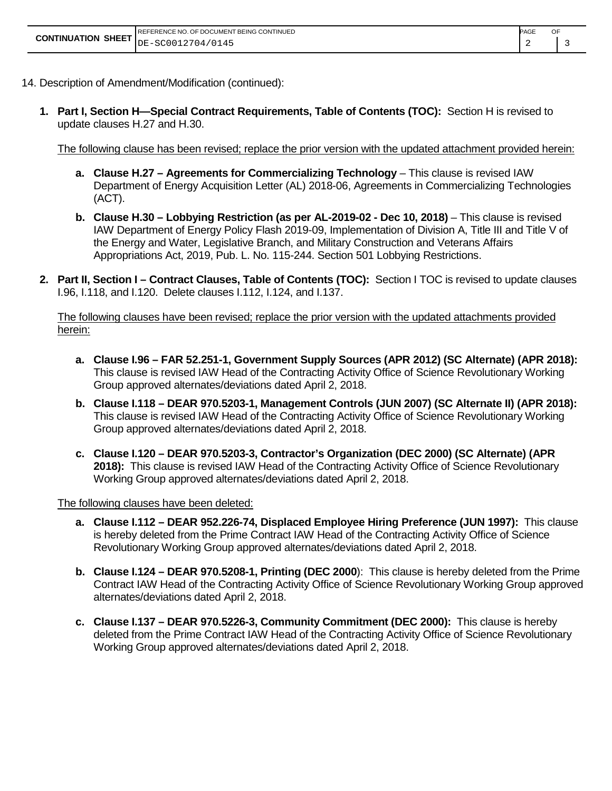|                                               | REFERENCE NO. OF DOCUMENT BEING CONTINUED | OF<br>PAGE |  |
|-----------------------------------------------|-------------------------------------------|------------|--|
| <b>CONTINUATION SHEET</b> $DE-SC0012704/0145$ |                                           |            |  |

- 14. Description of Amendment/Modification (continued):
	- **1. Part I, Section H—Special Contract Requirements, Table of Contents (TOC):** Section H is revised to update clauses H.27 and H.30.

The following clause has been revised; replace the prior version with the updated attachment provided herein:

**a.** Clause H.27 – Agreements for Commercializing Technology – This clause is revised IAW Department of Energy Acquisition Letter (AL) 2018-06, Agreements in Commercializing Technologies (ACT).

2 3

- **b. Clause H.30 – Lobbying Restriction (as per AL-2019-02 - Dec 10, 2018)**  This clause is revised IAW Department of Energy Policy Flash 2019-09, Implementation of Division A, Title III and Title V of the Energy and Water, Legislative Branch, and Military Construction and Veterans Affairs Appropriations Act, 2019, Pub. L. No. 115-244. Section 501 Lobbying Restrictions.
- **2. Part II, Section I – Contract Clauses, Table of Contents (TOC):** Section I TOC is revised to update clauses I.96, I.118, and I.120. Delete clauses I.112, I.124, and I.137.

The following clauses have been revised; replace the prior version with the updated attachments provided herein:

- **a. Clause I.96 – FAR 52.251-1, Government Supply Sources (APR 2012) (SC Alternate) (APR 2018):**  This clause is revised IAW Head of the Contracting Activity Office of Science Revolutionary Working Group approved alternates/deviations dated April 2, 2018.
- **b. Clause I.118 – DEAR 970.5203-1, Management Controls (JUN 2007) (SC Alternate II) (APR 2018):** This clause is revised IAW Head of the Contracting Activity Office of Science Revolutionary Working Group approved alternates/deviations dated April 2, 2018.
- **c. Clause I.120 – DEAR 970.5203-3, Contractor's Organization (DEC 2000) (SC Alternate) (APR 2018):** This clause is revised IAW Head of the Contracting Activity Office of Science Revolutionary Working Group approved alternates/deviations dated April 2, 2018.

The following clauses have been deleted:

- **a. Clause I.112 – DEAR 952.226-74, Displaced Employee Hiring Preference (JUN 1997):** This clause is hereby deleted from the Prime Contract IAW Head of the Contracting Activity Office of Science Revolutionary Working Group approved alternates/deviations dated April 2, 2018.
- **b. Clause I.124 – DEAR 970.5208-1, Printing (DEC 2000**): This clause is hereby deleted from the Prime Contract IAW Head of the Contracting Activity Office of Science Revolutionary Working Group approved alternates/deviations dated April 2, 2018.
- **c. Clause I.137 – DEAR 970.5226-3, Community Commitment (DEC 2000):** This clause is hereby deleted from the Prime Contract IAW Head of the Contracting Activity Office of Science Revolutionary Working Group approved alternates/deviations dated April 2, 2018.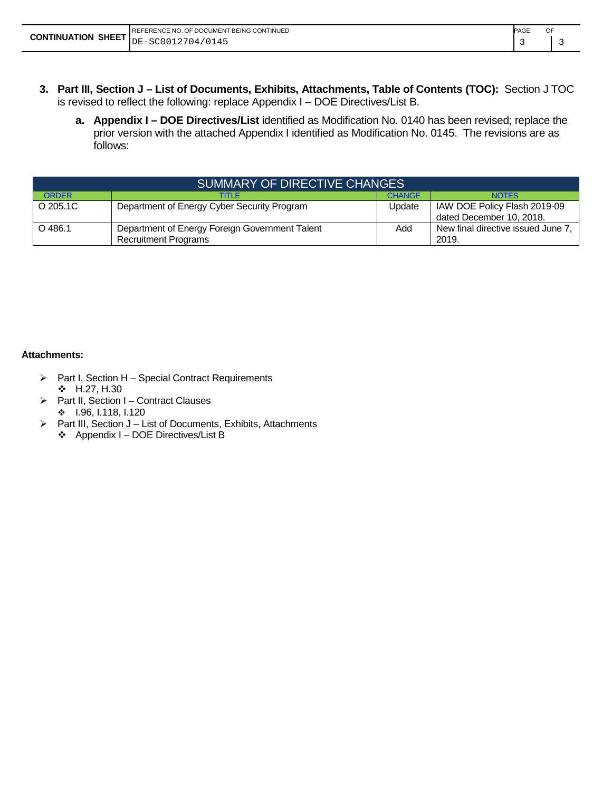| <b>PAGE</b><br>REFERENCE NO. OF DOCUMENT BEING CONTINUED |  |  |  |
|----------------------------------------------------------|--|--|--|
| <b>CONTINUATION SHEET</b> $DE-SC0012704/0145$            |  |  |  |

- **3. Part III, Section J – List of Documents, Exhibits, Attachments, Table of Contents (TOC):** Section J TOC is revised to reflect the following: replace Appendix I – DOE Directives/List B.
	- **a. Appendix I – DOE Directives/List** identified as Modification No. 0140 has been revised; replace the prior version with the attached Appendix I identified as Modification No. 0145. The revisions are as follows:

| SUMMARY OF DIRECTIVE CHANGES |                                                                               |               |                                                          |  |  |
|------------------------------|-------------------------------------------------------------------------------|---------------|----------------------------------------------------------|--|--|
| <b>ORDER</b>                 | TITI F                                                                        | <b>CHANGE</b> | <b>NOTES</b>                                             |  |  |
| O 205.1C                     | Department of Energy Cyber Security Program                                   | Update        | IAW DOE Policy Flash 2019-09<br>dated December 10, 2018. |  |  |
| $O$ 486.1                    | Department of Energy Foreign Government Talent<br><b>Recruitment Programs</b> | Add           | New final directive issued June 7<br>2019.               |  |  |

#### **Attachments:**

- $\triangleright$  Part I, Section H Special Contract Requirements  $\div$  H.27, H.30
- ▶ Part II, Section I Contract Clauses  $\div$  1.96, 1.118, 1.120
- $\triangleright$  Part III, Section J List of Documents, Exhibits, Attachments
	- Appendix I DOE Directives/List B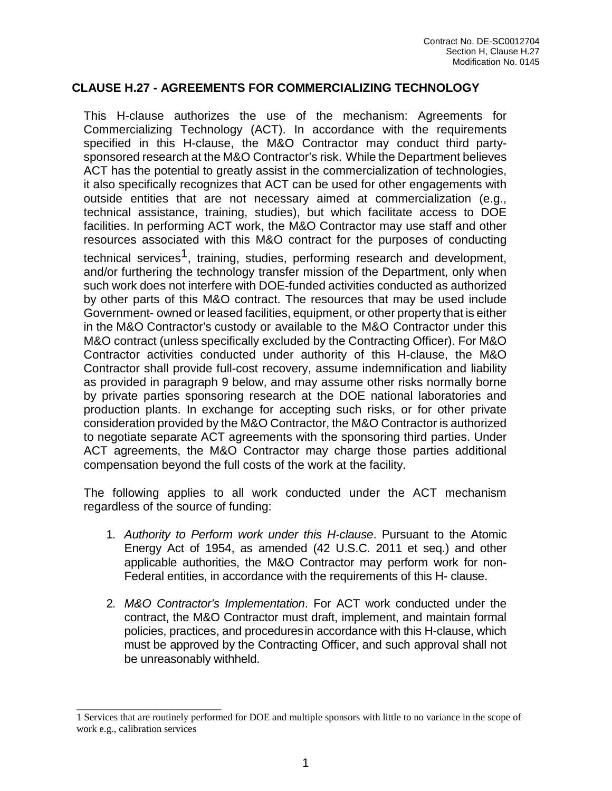#### **CLAUSE H.27 - AGREEMENTS FOR COMMERCIALIZING TECHNOLOGY**

This H-clause authorizes the use of the mechanism: Agreements for Commercializing Technology (ACT). In accordance with the requirements specified in this H-clause, the M&O Contractor may conduct third partysponsored research at the M&O Contractor's risk. While the Department believes ACT has the potential to greatly assist in the commercialization of technologies, it also specifically recognizes that ACT can be used for other engagements with outside entities that are not necessary aimed at commercialization (e.g., technical assistance, training, studies), but which facilitate access to DOE facilities. In performing ACT work, the M&O Contractor may use staff and other resources associated with this M&O contract for the purposes of conducting technical services<sup>1</sup>, training, studies, performing research and development, and/or furthering the technology transfer mission of the Department, only when such work does not interfere with DOE-funded activities conducted as authorized by other parts of this M&O contract. The resources that may be used include Government- owned or leased facilities, equipment, or other property that is either in the M&O Contractor's custody or available to the M&O Contractor under this M&O contract (unless specifically excluded by the Contracting Officer). For M&O Contractor activities conducted under authority of this H-clause, the M&O Contractor shall provide full-cost recovery, assume indemnification and liability as provided in paragraph 9 below, and may assume other risks normally borne by private parties sponsoring research at the DOE national laboratories and production plants. In exchange for accepting such risks, or for other private consideration provided by the M&O Contractor, the M&O Contractor is authorized to negotiate separate ACT agreements with the sponsoring third parties. Under ACT agreements, the M&O Contractor may charge those parties additional compensation beyond the full costs of the work at the facility.

The following applies to all work conducted under the ACT mechanism regardless of the source of funding:

- 1. *Authority to Perform work under this H-clause*. Pursuant to the Atomic Energy Act of 1954, as amended (42 U.S.C. 2011 et seq.) and other applicable authorities, the M&O Contractor may perform work for non-Federal entities, in accordance with the requirements of this H- clause.
- 2. *M&O Contractor's Implementation*. For ACT work conducted under the contract, the M&O Contractor must draft, implement, and maintain formal policies, practices, and proceduresin accordance with this H-clause, which must be approved by the Contracting Officer, and such approval shall not be unreasonably withheld.

<span id="page-3-0"></span>\_\_\_\_\_\_\_\_\_\_\_\_\_\_\_\_\_\_\_\_\_\_\_\_\_\_\_\_\_

<sup>1</sup> Services that are routinely performed for DOE and multiple sponsors with little to no variance in the scope of work e.g., calibration services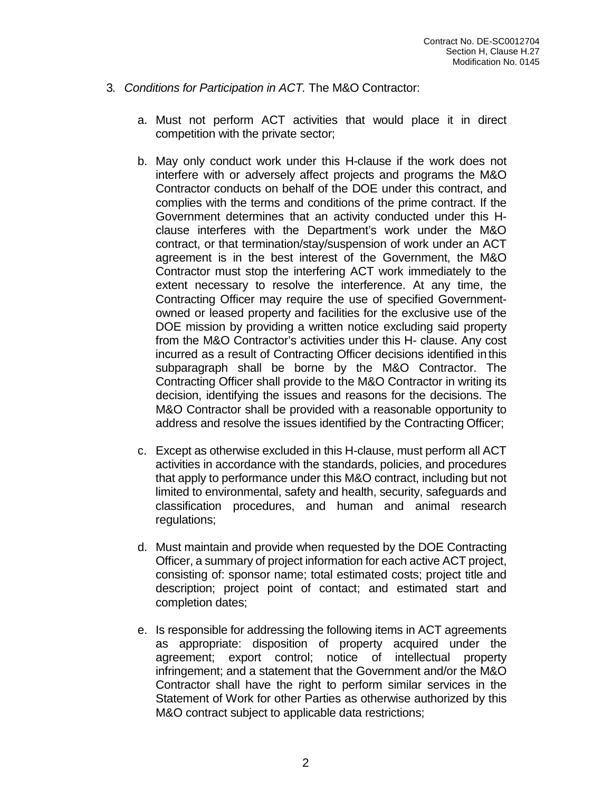- 3. *Conditions for Participation in ACT.* The M&O Contractor:
	- a. Must not perform ACT activities that would place it in direct competition with the private sector;
	- b. May only conduct work under this H-clause if the work does not interfere with or adversely affect projects and programs the M&O Contractor conducts on behalf of the DOE under this contract, and complies with the terms and conditions of the prime contract. If the Government determines that an activity conducted under this Hclause interferes with the Department's work under the M&O contract, or that termination/stay/suspension of work under an ACT agreement is in the best interest of the Government, the M&O Contractor must stop the interfering ACT work immediately to the extent necessary to resolve the interference. At any time, the Contracting Officer may require the use of specified Governmentowned or leased property and facilities for the exclusive use of the DOE mission by providing a written notice excluding said property from the M&O Contractor's activities under this H- clause. Any cost incurred as a result of Contracting Officer decisions identified in this subparagraph shall be borne by the M&O Contractor. The Contracting Officer shall provide to the M&O Contractor in writing its decision, identifying the issues and reasons for the decisions. The M&O Contractor shall be provided with a reasonable opportunity to address and resolve the issues identified by the Contracting Officer;
	- c. Except as otherwise excluded in this H-clause, must perform all ACT activities in accordance with the standards, policies, and procedures that apply to performance under this M&O contract, including but not limited to environmental, safety and health, security, safeguards and classification procedures, and human and animal research regulations;
	- d. Must maintain and provide when requested by the DOE Contracting Officer, a summary of project information for each active ACT project, consisting of: sponsor name; total estimated costs; project title and description; project point of contact; and estimated start and completion dates;
	- e. Is responsible for addressing the following items in ACT agreements as appropriate: disposition of property acquired under the agreement; export control; notice of intellectual property infringement; and a statement that the Government and/or the M&O Contractor shall have the right to perform similar services in the Statement of Work for other Parties as otherwise authorized by this M&O contract subject to applicable data restrictions;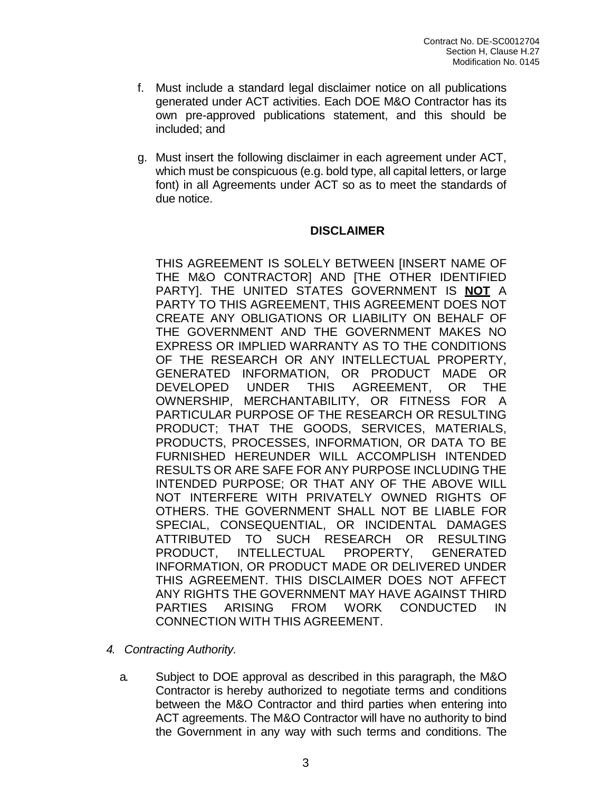- f. Must include a standard legal disclaimer notice on all publications generated under ACT activities. Each DOE M&O Contractor has its own pre-approved publications statement, and this should be included; and
- g. Must insert the following disclaimer in each agreement under ACT, which must be conspicuous (e.g. bold type, all capital letters, or large font) in all Agreements under ACT so as to meet the standards of due notice.

#### **DISCLAIMER**

THIS AGREEMENT IS SOLELY BETWEEN [INSERT NAME OF THE M&O CONTRACTOR] AND [THE OTHER IDENTIFIED PARTY]. THE UNITED STATES GOVERNMENT IS **NOT** A PARTY TO THIS AGREEMENT, THIS AGREEMENT DOES NOT CREATE ANY OBLIGATIONS OR LIABILITY ON BEHALF OF THE GOVERNMENT AND THE GOVERNMENT MAKES NO EXPRESS OR IMPLIED WARRANTY AS TO THE CONDITIONS OF THE RESEARCH OR ANY INTELLECTUAL PROPERTY, GENERATED INFORMATION, OR PRODUCT MADE OR DEVELOPED UNDER THIS AGREEMENT, OR THE OWNERSHIP, MERCHANTABILITY, OR FITNESS FOR A PARTICULAR PURPOSE OF THE RESEARCH OR RESULTING PRODUCT; THAT THE GOODS, SERVICES, MATERIALS, PRODUCTS, PROCESSES, INFORMATION, OR DATA TO BE FURNISHED HEREUNDER WILL ACCOMPLISH INTENDED RESULTS OR ARE SAFE FOR ANY PURPOSE INCLUDING THE INTENDED PURPOSE; OR THAT ANY OF THE ABOVE WILL NOT INTERFERE WITH PRIVATELY OWNED RIGHTS OF OTHERS. THE GOVERNMENT SHALL NOT BE LIABLE FOR SPECIAL, CONSEQUENTIAL, OR INCIDENTAL DAMAGES ATTRIBUTED TO SUCH RESEARCH OR RESULTING PRODUCT, INTELLECTUAL PROPERTY, GENERATED INFORMATION, OR PRODUCT MADE OR DELIVERED UNDER THIS AGREEMENT. THIS DISCLAIMER DOES NOT AFFECT ANY RIGHTS THE GOVERNMENT MAY HAVE AGAINST THIRD PARTIES ARISING FROM WORK CONDUCTED IN CONNECTION WITH THIS AGREEMENT.

- *4. Contracting Authority.*
	- a. Subject to DOE approval as described in this paragraph, the M&O Contractor is hereby authorized to negotiate terms and conditions between the M&O Contractor and third parties when entering into ACT agreements. The M&O Contractor will have no authority to bind the Government in any way with such terms and conditions. The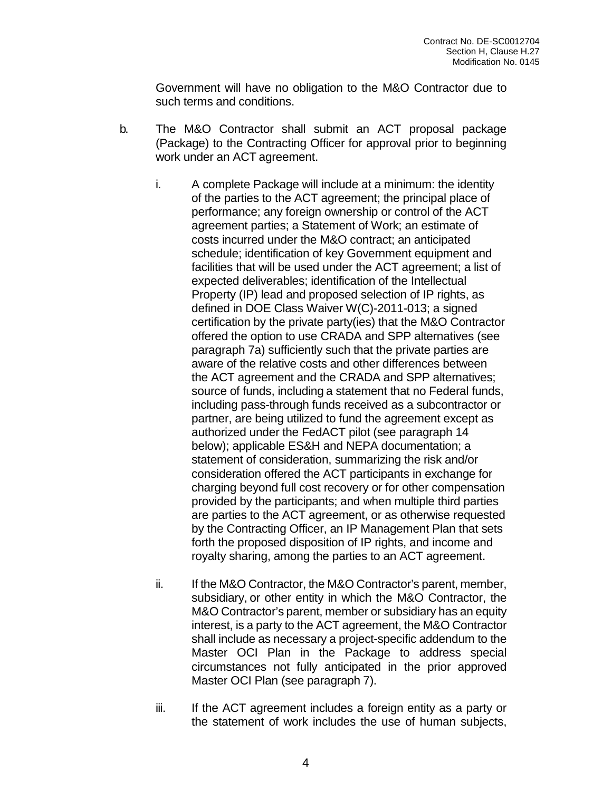Government will have no obligation to the M&O Contractor due to such terms and conditions.

- b. The M&O Contractor shall submit an ACT proposal package (Package) to the Contracting Officer for approval prior to beginning work under an ACT agreement.
	- i. A complete Package will include at a minimum: the identity of the parties to the ACT agreement; the principal place of performance; any foreign ownership or control of the ACT agreement parties; a Statement of Work; an estimate of costs incurred under the M&O contract; an anticipated schedule; identification of key Government equipment and facilities that will be used under the ACT agreement; a list of expected deliverables; identification of the Intellectual Property (IP) lead and proposed selection of IP rights, as defined in DOE Class Waiver W(C)-2011-013; a signed certification by the private party(ies) that the M&O Contractor offered the option to use CRADA and SPP alternatives (see paragraph 7a) sufficiently such that the private parties are aware of the relative costs and other differences between the ACT agreement and the CRADA and SPP alternatives; source of funds, including a statement that no Federal funds, including pass-through funds received as a subcontractor or partner, are being utilized to fund the agreement except as authorized under the FedACT pilot (see paragraph 14 below); applicable ES&H and NEPA documentation; a statement of consideration, summarizing the risk and/or consideration offered the ACT participants in exchange for charging beyond full cost recovery or for other compensation provided by the participants; and when multiple third parties are parties to the ACT agreement, or as otherwise requested by the Contracting Officer, an IP Management Plan that sets forth the proposed disposition of IP rights, and income and royalty sharing, among the parties to an ACT agreement.
	- ii. If the M&O Contractor, the M&O Contractor's parent, member, subsidiary, or other entity in which the M&O Contractor, the M&O Contractor's parent, member or subsidiary has an equity interest, is a party to the ACT agreement, the M&O Contractor shall include as necessary a project-specific addendum to the Master OCI Plan in the Package to address special circumstances not fully anticipated in the prior approved Master OCI Plan (see paragraph 7).
	- iii. If the ACT agreement includes a foreign entity as a party or the statement of work includes the use of human subjects,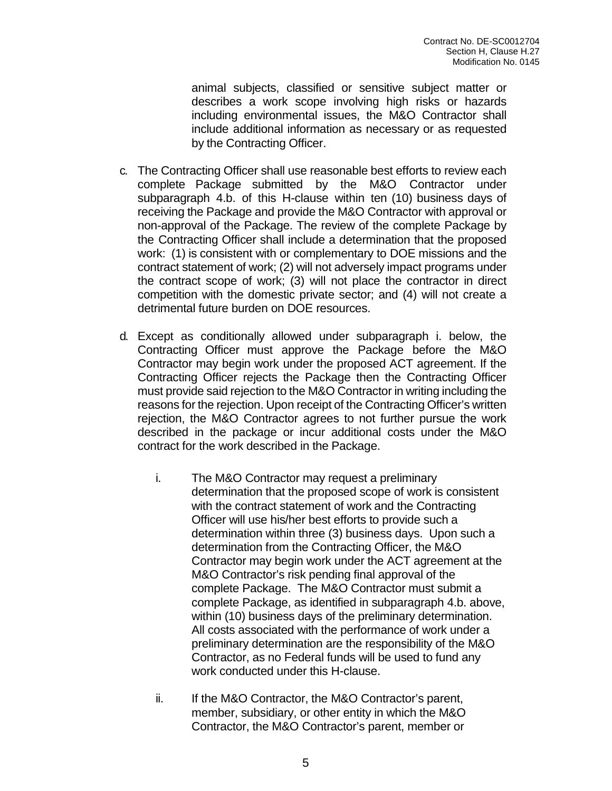animal subjects, classified or sensitive subject matter or describes a work scope involving high risks or hazards including environmental issues, the M&O Contractor shall include additional information as necessary or as requested by the Contracting Officer.

- c. The Contracting Officer shall use reasonable best efforts to review each complete Package submitted by the M&O Contractor under subparagraph 4.b. of this H-clause within ten (10) business days of receiving the Package and provide the M&O Contractor with approval or non-approval of the Package. The review of the complete Package by the Contracting Officer shall include a determination that the proposed work: (1) is consistent with or complementary to DOE missions and the contract statement of work; (2) will not adversely impact programs under the contract scope of work; (3) will not place the contractor in direct competition with the domestic private sector; and (4) will not create a detrimental future burden on DOE resources.
- d. Except as conditionally allowed under subparagraph i. below, the Contracting Officer must approve the Package before the M&O Contractor may begin work under the proposed ACT agreement. If the Contracting Officer rejects the Package then the Contracting Officer must provide said rejection to the M&O Contractor in writing including the reasons for the rejection. Upon receipt of the Contracting Officer's written rejection, the M&O Contractor agrees to not further pursue the work described in the package or incur additional costs under the M&O contract for the work described in the Package.
	- i. The M&O Contractor may request a preliminary determination that the proposed scope of work is consistent with the contract statement of work and the Contracting Officer will use his/her best efforts to provide such a determination within three (3) business days. Upon such a determination from the Contracting Officer, the M&O Contractor may begin work under the ACT agreement at the M&O Contractor's risk pending final approval of the complete Package. The M&O Contractor must submit a complete Package, as identified in subparagraph 4.b. above, within (10) business days of the preliminary determination. All costs associated with the performance of work under a preliminary determination are the responsibility of the M&O Contractor, as no Federal funds will be used to fund any work conducted under this H-clause.
	- ii. If the M&O Contractor, the M&O Contractor's parent, member, subsidiary, or other entity in which the M&O Contractor, the M&O Contractor's parent, member or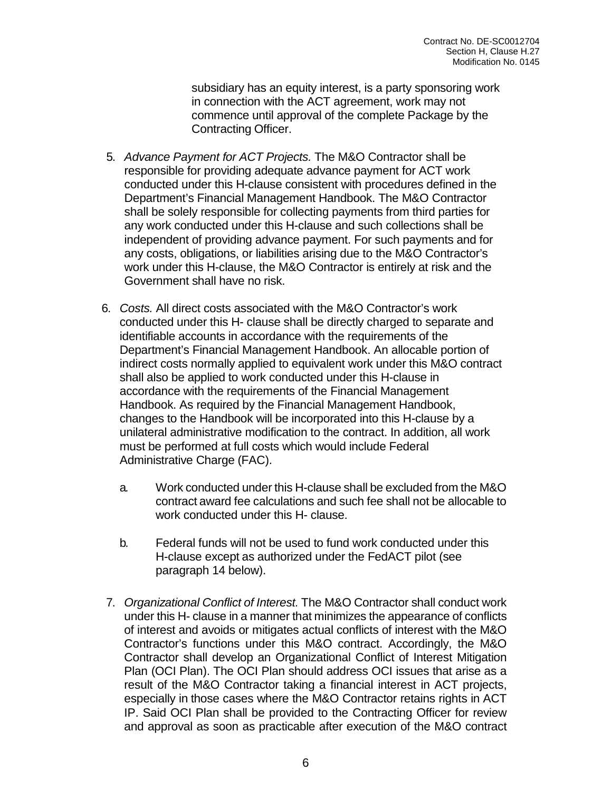subsidiary has an equity interest, is a party sponsoring work in connection with the ACT agreement, work may not commence until approval of the complete Package by the Contracting Officer.

- 5. *Advance Payment for ACT Projects.* The M&O Contractor shall be responsible for providing adequate advance payment for ACT work conducted under this H-clause consistent with procedures defined in the Department's Financial Management Handbook. The M&O Contractor shall be solely responsible for collecting payments from third parties for any work conducted under this H-clause and such collections shall be independent of providing advance payment. For such payments and for any costs, obligations, or liabilities arising due to the M&O Contractor's work under this H-clause, the M&O Contractor is entirely at risk and the Government shall have no risk.
- 6. *Costs.* All direct costs associated with the M&O Contractor's work conducted under this H- clause shall be directly charged to separate and identifiable accounts in accordance with the requirements of the Department's Financial Management Handbook. An allocable portion of indirect costs normally applied to equivalent work under this M&O contract shall also be applied to work conducted under this H-clause in accordance with the requirements of the Financial Management Handbook. As required by the Financial Management Handbook, changes to the Handbook will be incorporated into this H-clause by a unilateral administrative modification to the contract. In addition, all work must be performed at full costs which would include Federal Administrative Charge (FAC).
	- a. Work conducted under this H-clause shall be excluded from the M&O contract award fee calculations and such fee shall not be allocable to work conducted under this H- clause.
	- b. Federal funds will not be used to fund work conducted under this H-clause except as authorized under the FedACT pilot (see paragraph 14 below).
- 7. *Organizational Conflict of Interest.* The M&O Contractor shall conduct work under this H- clause in a manner that minimizes the appearance of conflicts of interest and avoids or mitigates actual conflicts of interest with the M&O Contractor's functions under this M&O contract. Accordingly, the M&O Contractor shall develop an Organizational Conflict of Interest Mitigation Plan (OCI Plan). The OCI Plan should address OCI issues that arise as a result of the M&O Contractor taking a financial interest in ACT projects, especially in those cases where the M&O Contractor retains rights in ACT IP. Said OCI Plan shall be provided to the Contracting Officer for review and approval as soon as practicable after execution of the M&O contract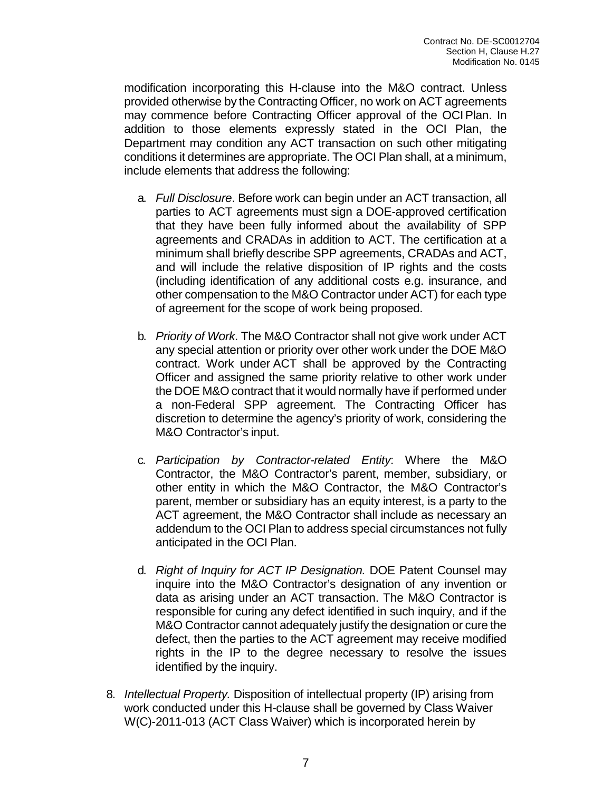modification incorporating this H-clause into the M&O contract. Unless provided otherwise by the Contracting Officer, no work on ACT agreements may commence before Contracting Officer approval of the OCIPlan. In addition to those elements expressly stated in the OCI Plan, the Department may condition any ACT transaction on such other mitigating conditions it determines are appropriate. The OCI Plan shall, at a minimum, include elements that address the following:

- a. *Full Disclosure*. Before work can begin under an ACT transaction, all parties to ACT agreements must sign a DOE-approved certification that they have been fully informed about the availability of SPP agreements and CRADAs in addition to ACT. The certification at a minimum shall briefly describe SPP agreements, CRADAs and ACT, and will include the relative disposition of IP rights and the costs (including identification of any additional costs e.g. insurance, and other compensation to the M&O Contractor under ACT) for each type of agreement for the scope of work being proposed.
- b. *Priority of Work*. The M&O Contractor shall not give work under ACT any special attention or priority over other work under the DOE M&O contract. Work under ACT shall be approved by the Contracting Officer and assigned the same priority relative to other work under the DOE M&O contract that it would normally have if performed under a non-Federal SPP agreement. The Contracting Officer has discretion to determine the agency's priority of work, considering the M&O Contractor's input.
- c. *Participation by Contractor-related Entity*: Where the M&O Contractor, the M&O Contractor's parent, member, subsidiary, or other entity in which the M&O Contractor, the M&O Contractor's parent, member or subsidiary has an equity interest, is a party to the ACT agreement, the M&O Contractor shall include as necessary an addendum to the OCI Plan to address special circumstances not fully anticipated in the OCI Plan.
- d. *Right of Inquiry for ACT IP Designation.* DOE Patent Counsel may inquire into the M&O Contractor's designation of any invention or data as arising under an ACT transaction. The M&O Contractor is responsible for curing any defect identified in such inquiry, and if the M&O Contractor cannot adequately justify the designation or cure the defect, then the parties to the ACT agreement may receive modified rights in the IP to the degree necessary to resolve the issues identified by the inquiry.
- 8. *Intellectual Property.* Disposition of intellectual property (IP) arising from work conducted under this H-clause shall be governed by Class Waiver W(C)-2011-013 (ACT Class Waiver) which is incorporated herein by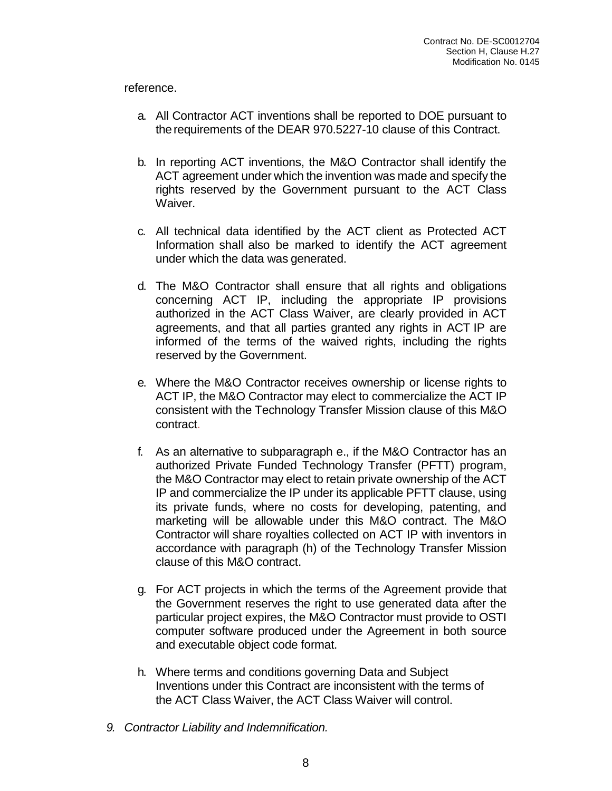#### reference.

- a. All Contractor ACT inventions shall be reported to DOE pursuant to therequirements of the DEAR 970.5227-10 clause of this Contract.
- b. In reporting ACT inventions, the M&O Contractor shall identify the ACT agreement under which the invention was made and specify the rights reserved by the Government pursuant to the ACT Class Waiver.
- c. All technical data identified by the ACT client as Protected ACT Information shall also be marked to identify the ACT agreement under which the data was generated.
- d. The M&O Contractor shall ensure that all rights and obligations concerning ACT IP, including the appropriate IP provisions authorized in the ACT Class Waiver, are clearly provided in ACT agreements, and that all parties granted any rights in ACT IP are informed of the terms of the waived rights, including the rights reserved by the Government.
- e. Where the M&O Contractor receives ownership or license rights to ACT IP, the M&O Contractor may elect to commercialize the ACT IP consistent with the Technology Transfer Mission clause of this M&O contract.
- f. As an alternative to subparagraph e., if the M&O Contractor has an authorized Private Funded Technology Transfer (PFTT) program, the M&O Contractor may elect to retain private ownership of the ACT IP and commercialize the IP under its applicable PFTT clause, using its private funds, where no costs for developing, patenting, and marketing will be allowable under this M&O contract. The M&O Contractor will share royalties collected on ACT IP with inventors in accordance with paragraph (h) of the Technology Transfer Mission clause of this M&O contract.
- g. For ACT projects in which the terms of the Agreement provide that the Government reserves the right to use generated data after the particular project expires, the M&O Contractor must provide to OSTI computer software produced under the Agreement in both source and executable object code format.
- h. Where terms and conditions governing Data and Subject Inventions under this Contract are inconsistent with the terms of the ACT Class Waiver, the ACT Class Waiver will control.
- *9. Contractor Liability and Indemnification.*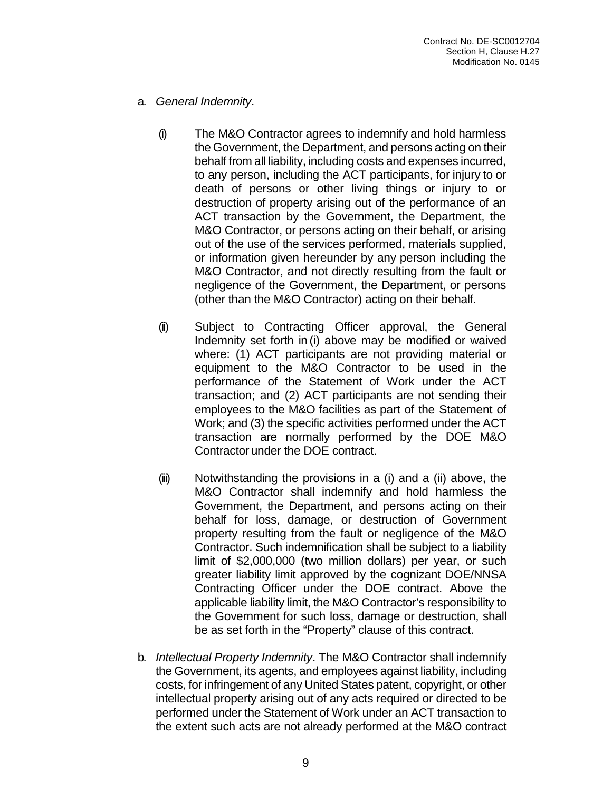- a. *General Indemnity*.
	- (i) The M&O Contractor agrees to indemnify and hold harmless the Government, the Department, and persons acting on their behalf from all liability, including costs and expenses incurred, to any person, including the ACT participants, for injury to or death of persons or other living things or injury to or destruction of property arising out of the performance of an ACT transaction by the Government, the Department, the M&O Contractor, or persons acting on their behalf, or arising out of the use of the services performed, materials supplied, or information given hereunder by any person including the M&O Contractor, and not directly resulting from the fault or negligence of the Government, the Department, or persons (other than the M&O Contractor) acting on their behalf.
	- (ii) Subject to Contracting Officer approval, the General Indemnity set forth in (i) above may be modified or waived where: (1) ACT participants are not providing material or equipment to the M&O Contractor to be used in the performance of the Statement of Work under the ACT transaction; and (2) ACT participants are not sending their employees to the M&O facilities as part of the Statement of Work; and (3) the specific activities performed under the ACT transaction are normally performed by the DOE M&O Contractor under the DOE contract.
	- (iii) Notwithstanding the provisions in a (i) and a (ii) above, the M&O Contractor shall indemnify and hold harmless the Government, the Department, and persons acting on their behalf for loss, damage, or destruction of Government property resulting from the fault or negligence of the M&O Contractor. Such indemnification shall be subject to a liability limit of \$2,000,000 (two million dollars) per year, or such greater liability limit approved by the cognizant DOE/NNSA Contracting Officer under the DOE contract. Above the applicable liability limit, the M&O Contractor's responsibility to the Government for such loss, damage or destruction, shall be as set forth in the "Property" clause of this contract.
- b. *Intellectual Property Indemnity*. The M&O Contractor shall indemnify the Government, its agents, and employees against liability, including costs, for infringement of any United States patent, copyright, or other intellectual property arising out of any acts required or directed to be performed under the Statement of Work under an ACT transaction to the extent such acts are not already performed at the M&O contract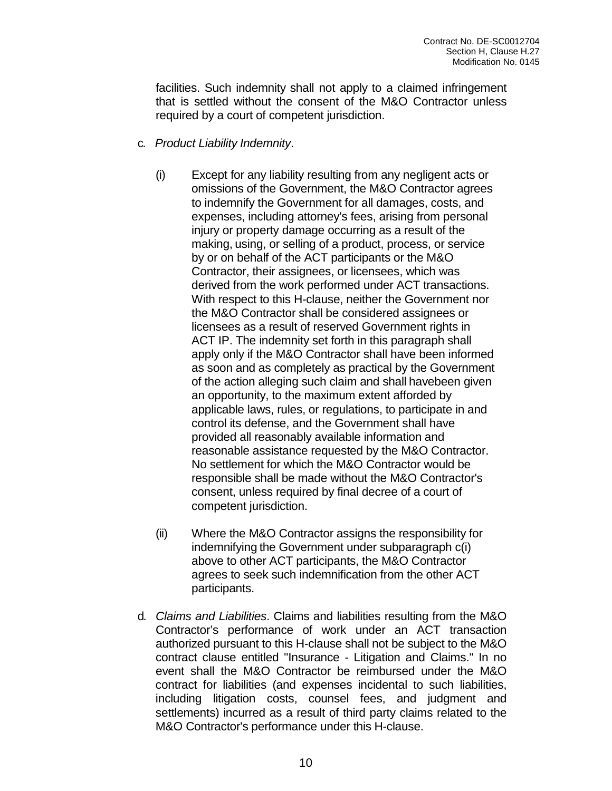facilities. Such indemnity shall not apply to a claimed infringement that is settled without the consent of the M&O Contractor unless required by a court of competent jurisdiction.

- c. *Product Liability Indemnity*.
	- (i) Except for any liability resulting from any negligent acts or omissions of the Government, the M&O Contractor agrees to indemnify the Government for all damages, costs, and expenses, including attorney's fees, arising from personal injury or property damage occurring as a result of the making, using, or selling of a product, process, or service by or on behalf of the ACT participants or the M&O Contractor, their assignees, or licensees, which was derived from the work performed under ACT transactions. With respect to this H-clause, neither the Government nor the M&O Contractor shall be considered assignees or licensees as a result of reserved Government rights in ACT IP. The indemnity set forth in this paragraph shall apply only if the M&O Contractor shall have been informed as soon and as completely as practical by the Government of the action alleging such claim and shall havebeen given an opportunity, to the maximum extent afforded by applicable laws, rules, or regulations, to participate in and control its defense, and the Government shall have provided all reasonably available information and reasonable assistance requested by the M&O Contractor. No settlement for which the M&O Contractor would be responsible shall be made without the M&O Contractor's consent, unless required by final decree of a court of competent jurisdiction.
	- (ii) Where the M&O Contractor assigns the responsibility for indemnifying the Government under subparagraph c(i) above to other ACT participants, the M&O Contractor agrees to seek such indemnification from the other ACT participants.
- d. *Claims and Liabilities*. Claims and liabilities resulting from the M&O Contractor's performance of work under an ACT transaction authorized pursuant to this H-clause shall not be subject to the M&O contract clause entitled "Insurance - Litigation and Claims." In no event shall the M&O Contractor be reimbursed under the M&O contract for liabilities (and expenses incidental to such liabilities, including litigation costs, counsel fees, and judgment and settlements) incurred as a result of third party claims related to the M&O Contractor's performance under this H-clause.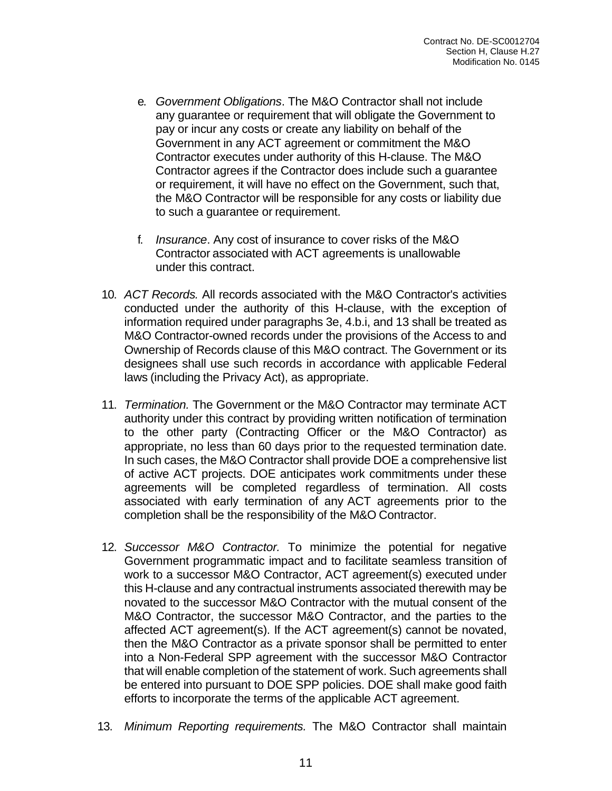- e. *Government Obligations*. The M&O Contractor shall not include any guarantee or requirement that will obligate the Government to pay or incur any costs or create any liability on behalf of the Government in any ACT agreement or commitment the M&O Contractor executes under authority of this H-clause. The M&O Contractor agrees if the Contractor does include such a guarantee or requirement, it will have no effect on the Government, such that, the M&O Contractor will be responsible for any costs or liability due to such a guarantee or requirement.
- f. *Insurance*. Any cost of insurance to cover risks of the M&O Contractor associated with ACT agreements is unallowable under this contract.
- 10. *ACT Records.* All records associated with the M&O Contractor's activities conducted under the authority of this H-clause, with the exception of information required under paragraphs 3e, 4.b.i, and 13 shall be treated as M&O Contractor-owned records under the provisions of the Access to and Ownership of Records clause of this M&O contract. The Government or its designees shall use such records in accordance with applicable Federal laws (including the Privacy Act), as appropriate.
- 11. *Termination.* The Government or the M&O Contractor may terminate ACT authority under this contract by providing written notification of termination to the other party (Contracting Officer or the M&O Contractor) as appropriate, no less than 60 days prior to the requested termination date. In such cases, the M&O Contractor shall provide DOE a comprehensive list of active ACT projects. DOE anticipates work commitments under these agreements will be completed regardless of termination. All costs associated with early termination of any ACT agreements prior to the completion shall be the responsibility of the M&O Contractor.
- 12. *Successor M&O Contractor.* To minimize the potential for negative Government programmatic impact and to facilitate seamless transition of work to a successor M&O Contractor, ACT agreement(s) executed under this H-clause and any contractual instruments associated therewith may be novated to the successor M&O Contractor with the mutual consent of the M&O Contractor, the successor M&O Contractor, and the parties to the affected ACT agreement(s). If the ACT agreement(s) cannot be novated, then the M&O Contractor as a private sponsor shall be permitted to enter into a Non-Federal SPP agreement with the successor M&O Contractor that will enable completion of the statement of work. Such agreements shall be entered into pursuant to DOE SPP policies. DOE shall make good faith efforts to incorporate the terms of the applicable ACT agreement.
- 13. *Minimum Reporting requirements.* The M&O Contractor shall maintain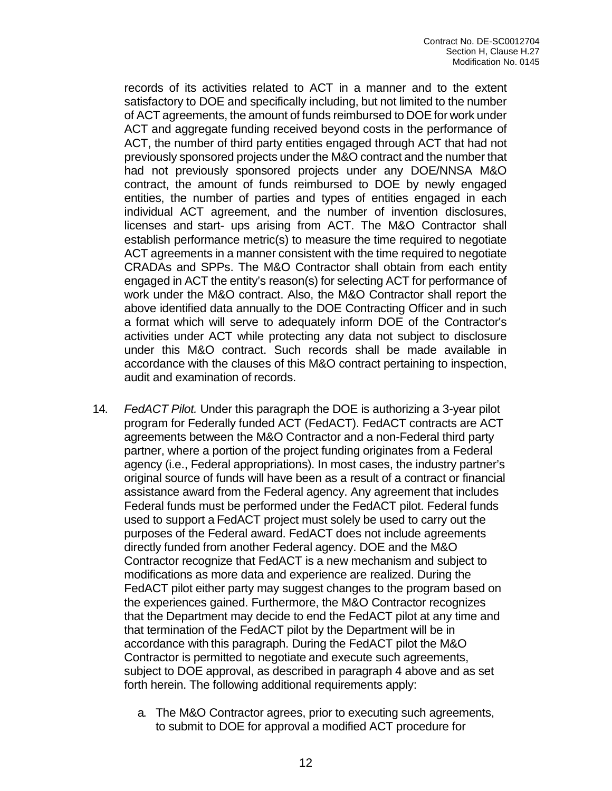records of its activities related to ACT in a manner and to the extent satisfactory to DOE and specifically including, but not limited to the number of ACT agreements, the amount of funds reimbursed to DOE for work under ACT and aggregate funding received beyond costs in the performance of ACT, the number of third party entities engaged through ACT that had not previously sponsored projects under the M&O contract and the number that had not previously sponsored projects under any DOE/NNSA M&O contract, the amount of funds reimbursed to DOE by newly engaged entities, the number of parties and types of entities engaged in each individual ACT agreement, and the number of invention disclosures, licenses and start- ups arising from ACT. The M&O Contractor shall establish performance metric(s) to measure the time required to negotiate ACT agreements in a manner consistent with the time required to negotiate CRADAs and SPPs. The M&O Contractor shall obtain from each entity engaged in ACT the entity's reason(s) for selecting ACT for performance of work under the M&O contract. Also, the M&O Contractor shall report the above identified data annually to the DOE Contracting Officer and in such a format which will serve to adequately inform DOE of the Contractor's activities under ACT while protecting any data not subject to disclosure under this M&O contract. Such records shall be made available in accordance with the clauses of this M&O contract pertaining to inspection, audit and examination of records.

- 14. *FedACT Pilot.* Under this paragraph the DOE is authorizing a 3-year pilot program for Federally funded ACT (FedACT). FedACT contracts are ACT agreements between the M&O Contractor and a non-Federal third party partner, where a portion of the project funding originates from a Federal agency (i.e., Federal appropriations). In most cases, the industry partner's original source of funds will have been as a result of a contract or financial assistance award from the Federal agency. Any agreement that includes Federal funds must be performed under the FedACT pilot. Federal funds used to support a FedACT project must solely be used to carry out the purposes of the Federal award. FedACT does not include agreements directly funded from another Federal agency. DOE and the M&O Contractor recognize that FedACT is a new mechanism and subject to modifications as more data and experience are realized. During the FedACT pilot either party may suggest changes to the program based on the experiences gained. Furthermore, the M&O Contractor recognizes that the Department may decide to end the FedACT pilot at any time and that termination of the FedACT pilot by the Department will be in accordance with this paragraph. During the FedACT pilot the M&O Contractor is permitted to negotiate and execute such agreements, subject to DOE approval, as described in paragraph 4 above and as set forth herein. The following additional requirements apply:
	- a. The M&O Contractor agrees, prior to executing such agreements, to submit to DOE for approval a modified ACT procedure for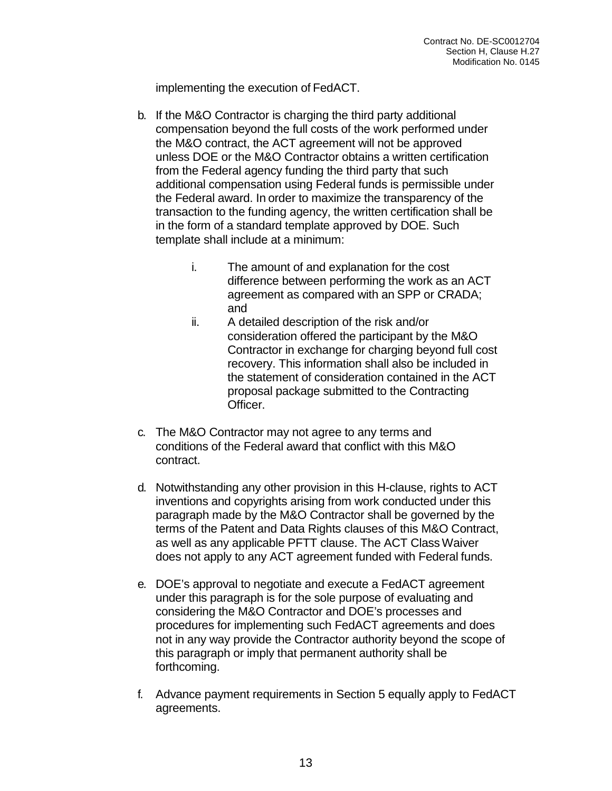implementing the execution of FedACT.

- b. If the M&O Contractor is charging the third party additional compensation beyond the full costs of the work performed under the M&O contract, the ACT agreement will not be approved unless DOE or the M&O Contractor obtains a written certification from the Federal agency funding the third party that such additional compensation using Federal funds is permissible under the Federal award. In order to maximize the transparency of the transaction to the funding agency, the written certification shall be in the form of a standard template approved by DOE. Such template shall include at a minimum:
	- i. The amount of and explanation for the cost difference between performing the work as an ACT agreement as compared with an SPP or CRADA; and
	- ii. A detailed description of the risk and/or consideration offered the participant by the M&O Contractor in exchange for charging beyond full cost recovery. This information shall also be included in the statement of consideration contained in the ACT proposal package submitted to the Contracting Officer.
- c. The M&O Contractor may not agree to any terms and conditions of the Federal award that conflict with this M&O contract.
- d. Notwithstanding any other provision in this H-clause, rights to ACT inventions and copyrights arising from work conducted under this paragraph made by the M&O Contractor shall be governed by the terms of the Patent and Data Rights clauses of this M&O Contract, as well as any applicable PFTT clause. The ACT ClassWaiver does not apply to any ACT agreement funded with Federal funds.
- e. DOE's approval to negotiate and execute a FedACT agreement under this paragraph is for the sole purpose of evaluating and considering the M&O Contractor and DOE's processes and procedures for implementing such FedACT agreements and does not in any way provide the Contractor authority beyond the scope of this paragraph or imply that permanent authority shall be forthcoming.
- f. Advance payment requirements in Section 5 equally apply to FedACT agreements.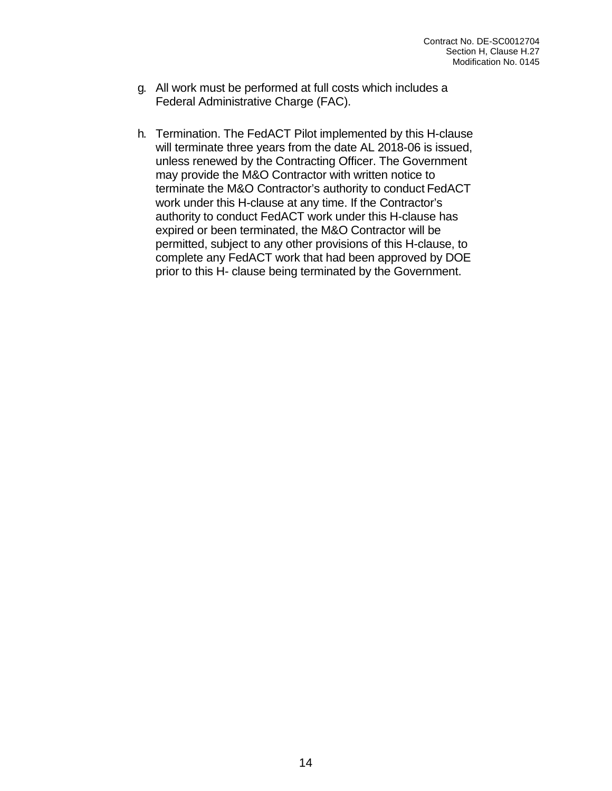- g. All work must be performed at full costs which includes a Federal Administrative Charge (FAC).
- h. Termination. The FedACT Pilot implemented by this H-clause will terminate three years from the date AL 2018-06 is issued, unless renewed by the Contracting Officer. The Government may provide the M&O Contractor with written notice to terminate the M&O Contractor's authority to conduct FedACT work under this H-clause at any time. If the Contractor's authority to conduct FedACT work under this H-clause has expired or been terminated, the M&O Contractor will be permitted, subject to any other provisions of this H-clause, to complete any FedACT work that had been approved by DOE prior to this H- clause being terminated by the Government.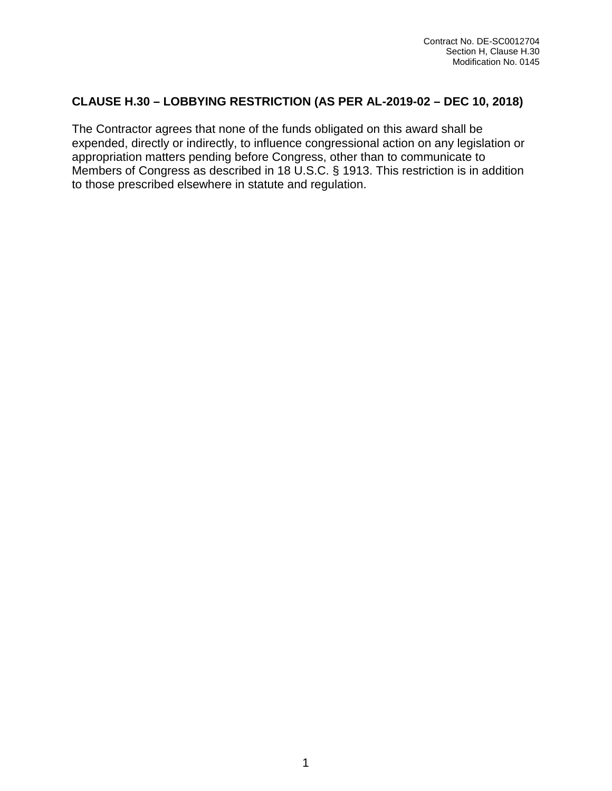# **CLAUSE H.30 – LOBBYING RESTRICTION (AS PER AL-2019-02 – DEC 10, 2018)**

The Contractor agrees that none of the funds obligated on this award shall be expended, directly or indirectly, to influence congressional action on any legislation or appropriation matters pending before Congress, other than to communicate to Members of Congress as described in 18 U.S.C. § 1913. This restriction is in addition to those prescribed elsewhere in statute and regulation.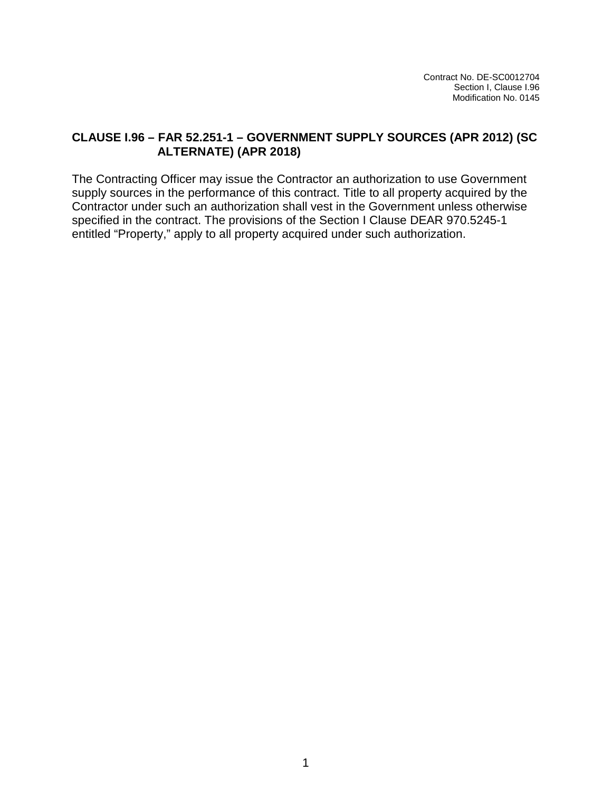Contract No. DE-SC0012704 Section I, Clause I.96 Modification No. 0145

### **CLAUSE I.96 – FAR 52.251-1 – GOVERNMENT SUPPLY SOURCES (APR 2012) (SC ALTERNATE) (APR 2018)**

The Contracting Officer may issue the Contractor an authorization to use Government supply sources in the performance of this contract. Title to all property acquired by the Contractor under such an authorization shall vest in the Government unless otherwise specified in the contract. The provisions of the Section I Clause DEAR 970.5245-1 entitled "Property," apply to all property acquired under such authorization.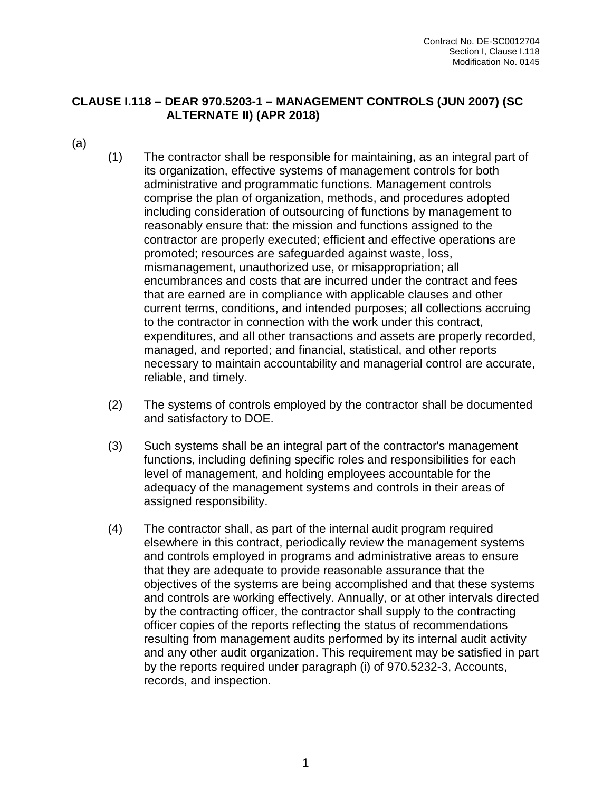### **CLAUSE I.118 – DEAR 970.5203-1 – MANAGEMENT CONTROLS (JUN 2007) (SC ALTERNATE II) (APR 2018)**

- (a)
- (1) The contractor shall be responsible for maintaining, as an integral part of its organization, effective systems of management controls for both administrative and programmatic functions. Management controls comprise the plan of organization, methods, and procedures adopted including consideration of outsourcing of functions by management to reasonably ensure that: the mission and functions assigned to the contractor are properly executed; efficient and effective operations are promoted; resources are safeguarded against waste, loss, mismanagement, unauthorized use, or misappropriation; all encumbrances and costs that are incurred under the contract and fees that are earned are in compliance with applicable clauses and other current terms, conditions, and intended purposes; all collections accruing to the contractor in connection with the work under this contract, expenditures, and all other transactions and assets are properly recorded, managed, and reported; and financial, statistical, and other reports necessary to maintain accountability and managerial control are accurate, reliable, and timely.
- (2) The systems of controls employed by the contractor shall be documented and satisfactory to DOE.
- (3) Such systems shall be an integral part of the contractor's management functions, including defining specific roles and responsibilities for each level of management, and holding employees accountable for the adequacy of the management systems and controls in their areas of assigned responsibility.
- (4) The contractor shall, as part of the internal audit program required elsewhere in this contract, periodically review the management systems and controls employed in programs and administrative areas to ensure that they are adequate to provide reasonable assurance that the objectives of the systems are being accomplished and that these systems and controls are working effectively. Annually, or at other intervals directed by the contracting officer, the contractor shall supply to the contracting officer copies of the reports reflecting the status of recommendations resulting from management audits performed by its internal audit activity and any other audit organization. This requirement may be satisfied in part by the reports required under paragraph (i) of 970.5232-3, Accounts, records, and inspection.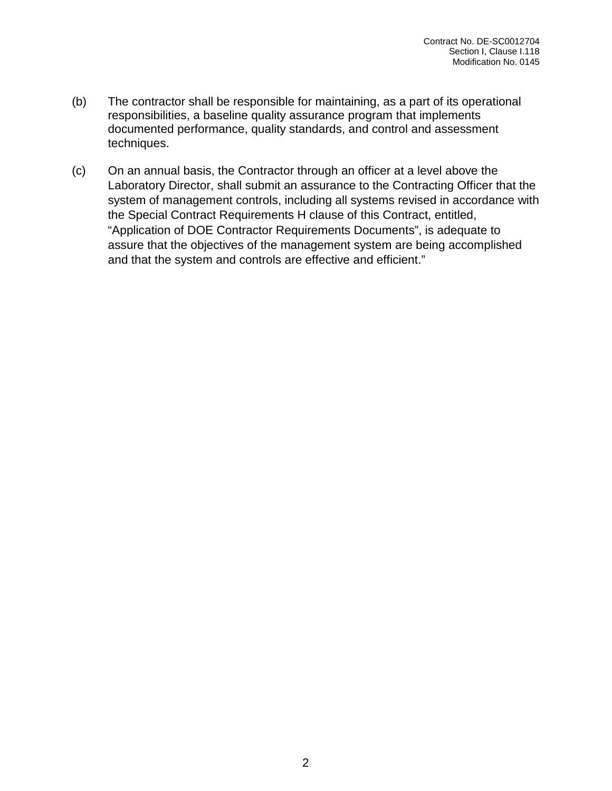- (b) The contractor shall be responsible for maintaining, as a part of its operational responsibilities, a baseline quality assurance program that implements documented performance, quality standards, and control and assessment techniques.
- (c) On an annual basis, the Contractor through an officer at a level above the Laboratory Director, shall submit an assurance to the Contracting Officer that the system of management controls, including all systems revised in accordance with the Special Contract Requirements H clause of this Contract, entitled, "Application of DOE Contractor Requirements Documents", is adequate to assure that the objectives of the management system are being accomplished and that the system and controls are effective and efficient."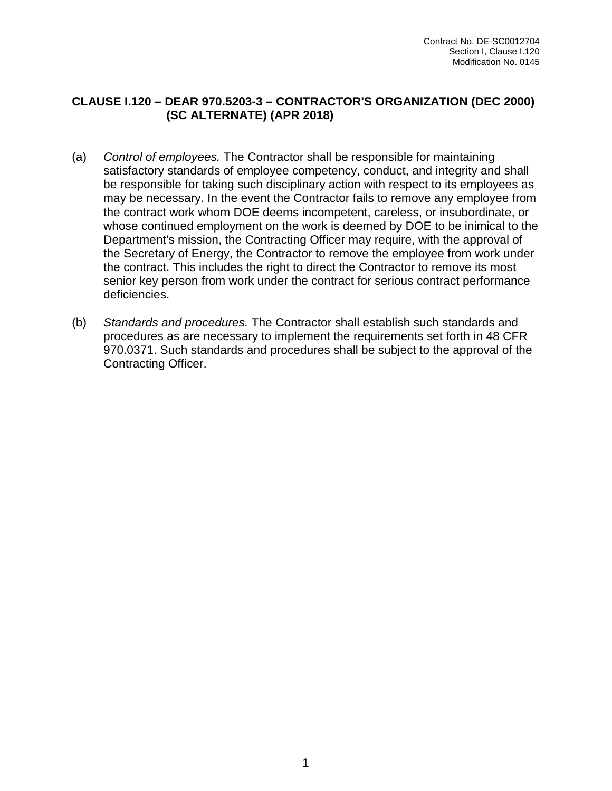### **CLAUSE I.120 – DEAR 970.5203-3 – CONTRACTOR'S ORGANIZATION (DEC 2000) (SC ALTERNATE) (APR 2018)**

- (a) *Control of employees.* The Contractor shall be responsible for maintaining satisfactory standards of employee competency, conduct, and integrity and shall be responsible for taking such disciplinary action with respect to its employees as may be necessary. In the event the Contractor fails to remove any employee from the contract work whom DOE deems incompetent, careless, or insubordinate, or whose continued employment on the work is deemed by DOE to be inimical to the Department's mission, the Contracting Officer may require, with the approval of the Secretary of Energy, the Contractor to remove the employee from work under the contract. This includes the right to direct the Contractor to remove its most senior key person from work under the contract for serious contract performance deficiencies.
- (b) *Standards and procedures.* The Contractor shall establish such standards and procedures as are necessary to implement the requirements set forth in 48 CFR 970.0371. Such standards and procedures shall be subject to the approval of the Contracting Officer.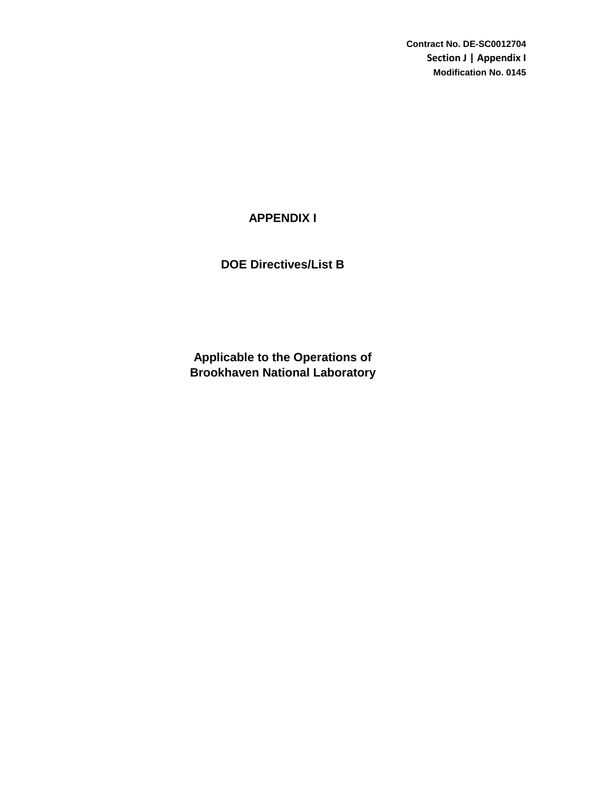**Contract No. DE-SC0012704 Section J | Appendix I Modification No. 0145**

## **APPENDIX I**

**DOE Directives/List B**

**Brookhaven National Laboratory Applicable to the Operations of**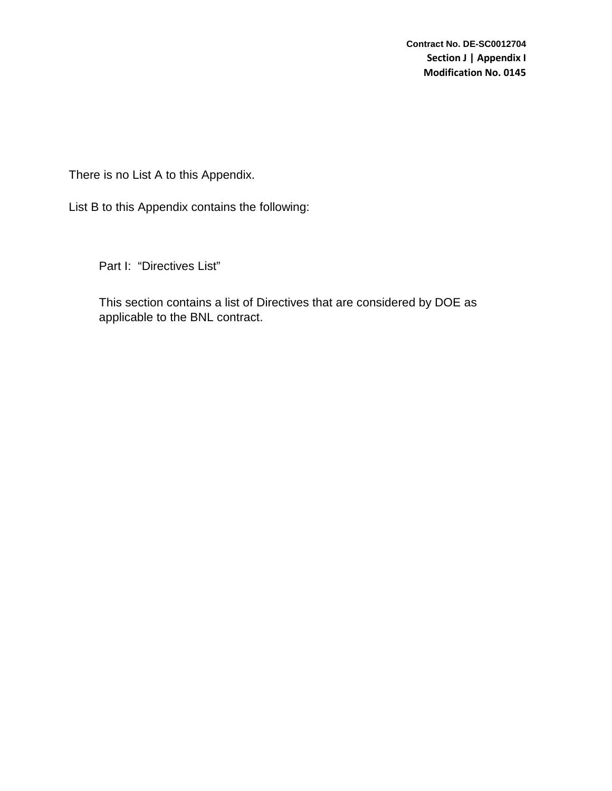There is no List A to this Appendix.

List B to this Appendix contains the following:

Part I: "Directives List"

This section contains a list of Directives that are considered by DOE as applicable to the BNL contract.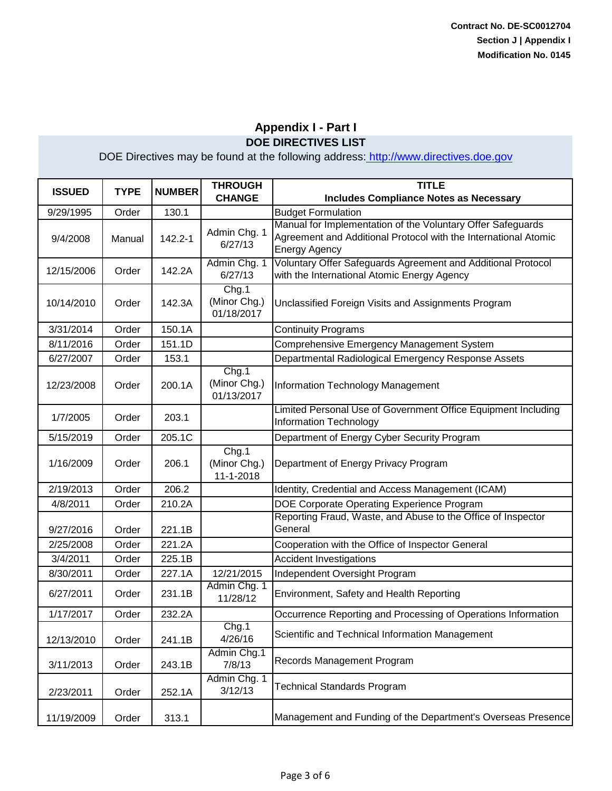| <b>ISSUED</b> | <b>TYPE</b> | <b>NUMBER</b> | <b>THROUGH</b>                      | <b>TITLE</b>                                                                                                                                           |
|---------------|-------------|---------------|-------------------------------------|--------------------------------------------------------------------------------------------------------------------------------------------------------|
|               |             |               | <b>CHANGE</b>                       | <b>Includes Compliance Notes as Necessary</b>                                                                                                          |
| 9/29/1995     | Order       | 130.1         |                                     | <b>Budget Formulation</b>                                                                                                                              |
| 9/4/2008      | Manual      | 142.2-1       | Admin Chg. 1<br>6/27/13             | Manual for Implementation of the Voluntary Offer Safeguards<br>Agreement and Additional Protocol with the International Atomic<br><b>Energy Agency</b> |
| 12/15/2006    | Order       | 142.2A        | Admin Chg. 1<br>6/27/13             | Voluntary Offer Safeguards Agreement and Additional Protocol<br>with the International Atomic Energy Agency                                            |
| 10/14/2010    | Order       | 142.3A        | Chg.1<br>(Minor Chg.)<br>01/18/2017 | Unclassified Foreign Visits and Assignments Program                                                                                                    |
| 3/31/2014     | Order       | 150.1A        |                                     | <b>Continuity Programs</b>                                                                                                                             |
| 8/11/2016     | Order       | 151.1D        |                                     | Comprehensive Emergency Management System                                                                                                              |
| 6/27/2007     | Order       | 153.1         |                                     | Departmental Radiological Emergency Response Assets                                                                                                    |
| 12/23/2008    | Order       | 200.1A        | Chg.1<br>(Minor Chg.)<br>01/13/2017 | Information Technology Management                                                                                                                      |
| 1/7/2005      | Order       | 203.1         |                                     | Limited Personal Use of Government Office Equipment Including<br><b>Information Technology</b>                                                         |
| 5/15/2019     | Order       | 205.1C        |                                     | Department of Energy Cyber Security Program                                                                                                            |
| 1/16/2009     | Order       | 206.1         | Chg.1<br>(Minor Chg.)<br>11-1-2018  | Department of Energy Privacy Program                                                                                                                   |
| 2/19/2013     | Order       | 206.2         |                                     | Identity, Credential and Access Management (ICAM)                                                                                                      |
| 4/8/2011      | Order       | 210.2A        |                                     | DOE Corporate Operating Experience Program                                                                                                             |
| 9/27/2016     | Order       | 221.1B        |                                     | Reporting Fraud, Waste, and Abuse to the Office of Inspector<br>General                                                                                |
| 2/25/2008     | Order       | 221.2A        |                                     | Cooperation with the Office of Inspector General                                                                                                       |
| 3/4/2011      | Order       | 225.1B        |                                     | <b>Accident Investigations</b>                                                                                                                         |
| 8/30/2011     | Order       | 227.1A        | 12/21/2015                          | Independent Oversight Program                                                                                                                          |
| 6/27/2011     | Order       | 231.1B        | Admin Chg. 1<br>11/28/12            | Environment, Safety and Health Reporting                                                                                                               |
| 1/17/2017     | Order       | 232.2A        |                                     | Occurrence Reporting and Processing of Operations Information                                                                                          |
| 12/13/2010    | Order       | 241.1B        | Chg.1<br>4/26/16                    | Scientific and Technical Information Management                                                                                                        |
| 3/11/2013     | Order       | 243.1B        | Admin Chg.1<br>7/8/13               | Records Management Program                                                                                                                             |
| 2/23/2011     | Order       | 252.1A        | Admin Chg. 1<br>3/12/13             | <b>Technical Standards Program</b>                                                                                                                     |
| 11/19/2009    | Order       | 313.1         |                                     | Management and Funding of the Department's Overseas Presence                                                                                           |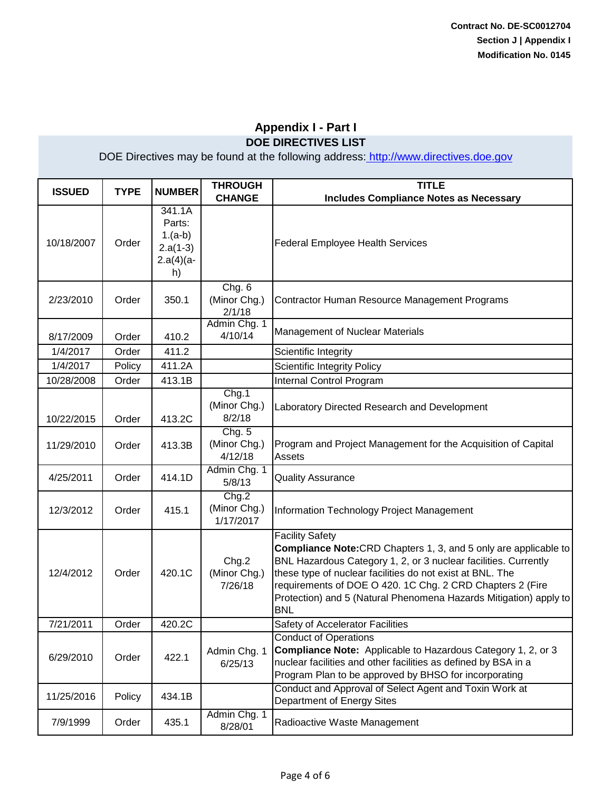| <b>ISSUED</b> | <b>TYPE</b> | <b>NUMBER</b>                                                    | <b>THROUGH</b><br><b>CHANGE</b>    | <b>TITLE</b><br><b>Includes Compliance Notes as Necessary</b>                                                                                                                                                                                                                                                                                                                     |
|---------------|-------------|------------------------------------------------------------------|------------------------------------|-----------------------------------------------------------------------------------------------------------------------------------------------------------------------------------------------------------------------------------------------------------------------------------------------------------------------------------------------------------------------------------|
| 10/18/2007    | Order       | 341.1A<br>Parts:<br>$1.(a-b)$<br>$2.a(1-3)$<br>$2.a(4)(a-$<br>h) |                                    | <b>Federal Employee Health Services</b>                                                                                                                                                                                                                                                                                                                                           |
| 2/23/2010     | Order       | 350.1                                                            | Chg. 6<br>(Minor Chg.)<br>2/1/18   | Contractor Human Resource Management Programs                                                                                                                                                                                                                                                                                                                                     |
| 8/17/2009     | Order       | 410.2                                                            | Admin Chg. 1<br>4/10/14            | Management of Nuclear Materials                                                                                                                                                                                                                                                                                                                                                   |
| 1/4/2017      | Order       | 411.2                                                            |                                    | Scientific Integrity                                                                                                                                                                                                                                                                                                                                                              |
| 1/4/2017      | Policy      | 411.2A                                                           |                                    | <b>Scientific Integrity Policy</b>                                                                                                                                                                                                                                                                                                                                                |
| 10/28/2008    | Order       | 413.1B                                                           |                                    | Internal Control Program                                                                                                                                                                                                                                                                                                                                                          |
| 10/22/2015    | Order       | 413.2C                                                           | Chg.1<br>(Minor Chg.)<br>8/2/18    | Laboratory Directed Research and Development                                                                                                                                                                                                                                                                                                                                      |
| 11/29/2010    | Order       | 413.3B                                                           | Chg. 5<br>(Minor Chg.)<br>4/12/18  | Program and Project Management for the Acquisition of Capital<br><b>Assets</b>                                                                                                                                                                                                                                                                                                    |
| 4/25/2011     | Order       | 414.1D                                                           | Admin Chg. 1<br>5/8/13             | <b>Quality Assurance</b>                                                                                                                                                                                                                                                                                                                                                          |
| 12/3/2012     | Order       | 415.1                                                            | Chg.2<br>(Minor Chg.)<br>1/17/2017 | Information Technology Project Management                                                                                                                                                                                                                                                                                                                                         |
| 12/4/2012     | Order       | 420.1C                                                           | Chg.2<br>(Minor Chg.)<br>7/26/18   | <b>Facility Safety</b><br><b>Compliance Note:</b> CRD Chapters 1, 3, and 5 only are applicable to<br>BNL Hazardous Category 1, 2, or 3 nuclear facilities. Currently<br>these type of nuclear facilities do not exist at BNL. The<br>requirements of DOE O 420. 1C Chg. 2 CRD Chapters 2 (Fire<br>Protection) and 5 (Natural Phenomena Hazards Mitigation) apply to<br><b>BNL</b> |
| 7/21/2011     | Order       | 420.2C                                                           |                                    | Safety of Accelerator Facilities                                                                                                                                                                                                                                                                                                                                                  |
| 6/29/2010     | Order       | 422.1                                                            | Admin Chg. 1<br>6/25/13            | <b>Conduct of Operations</b><br><b>Compliance Note:</b> Applicable to Hazardous Category 1, 2, or 3<br>nuclear facilities and other facilities as defined by BSA in a<br>Program Plan to be approved by BHSO for incorporating                                                                                                                                                    |
| 11/25/2016    | Policy      | 434.1B                                                           |                                    | Conduct and Approval of Select Agent and Toxin Work at<br>Department of Energy Sites                                                                                                                                                                                                                                                                                              |
| 7/9/1999      | Order       | 435.1                                                            | Admin Chg. 1<br>8/28/01            | Radioactive Waste Management                                                                                                                                                                                                                                                                                                                                                      |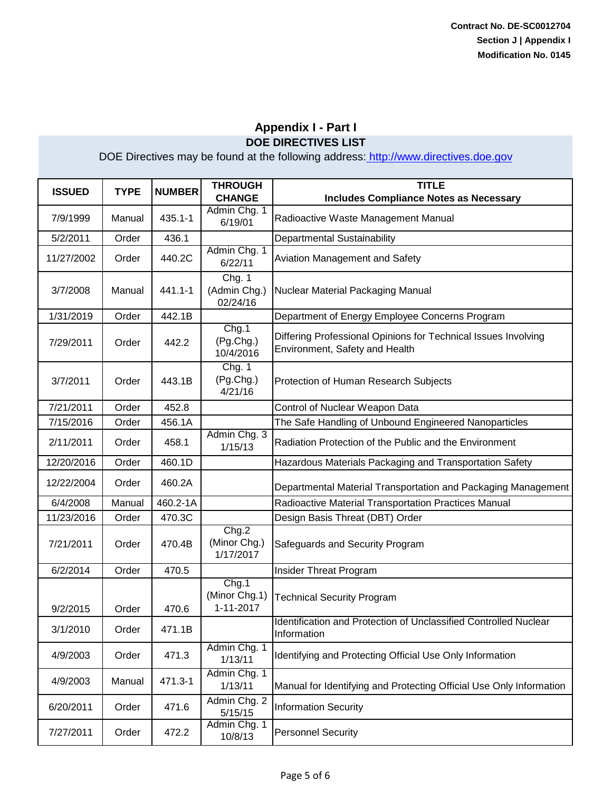| <b>ISSUED</b> | <b>TYPE</b> | <b>NUMBER</b> | <b>THROUGH</b><br><b>CHANGE</b>     | <b>TITLE</b><br><b>Includes Compliance Notes as Necessary</b>                                    |
|---------------|-------------|---------------|-------------------------------------|--------------------------------------------------------------------------------------------------|
| 7/9/1999      | Manual      | 435.1-1       | Admin Chg. 1<br>6/19/01             | Radioactive Waste Management Manual                                                              |
| 5/2/2011      | Order       | 436.1         |                                     | <b>Departmental Sustainability</b>                                                               |
| 11/27/2002    | Order       | 440.2C        | Admin Chg. 1<br>6/22/11             | Aviation Management and Safety                                                                   |
| 3/7/2008      | Manual      | 441.1-1       | Chg. 1<br>(Admin Chg.)<br>02/24/16  | Nuclear Material Packaging Manual                                                                |
| 1/31/2019     | Order       | 442.1B        |                                     | Department of Energy Employee Concerns Program                                                   |
| 7/29/2011     | Order       | 442.2         | Chg.1<br>(Pg.Chg.)<br>10/4/2016     | Differing Professional Opinions for Technical Issues Involving<br>Environment, Safety and Health |
| 3/7/2011      | Order       | 443.1B        | Chg. 1<br>(Pg.Chg.)<br>4/21/16      | Protection of Human Research Subjects                                                            |
| 7/21/2011     | Order       | 452.8         |                                     | Control of Nuclear Weapon Data                                                                   |
| 7/15/2016     | Order       | 456.1A        |                                     | The Safe Handling of Unbound Engineered Nanoparticles                                            |
| 2/11/2011     | Order       | 458.1         | Admin Chg. 3<br>1/15/13             | Radiation Protection of the Public and the Environment                                           |
| 12/20/2016    | Order       | 460.1D        |                                     | Hazardous Materials Packaging and Transportation Safety                                          |
| 12/22/2004    | Order       | 460.2A        |                                     | Departmental Material Transportation and Packaging Management                                    |
| 6/4/2008      | Manual      | 460.2-1A      |                                     | Radioactive Material Transportation Practices Manual                                             |
| 11/23/2016    | Order       | 470.3C        |                                     | Design Basis Threat (DBT) Order                                                                  |
| 7/21/2011     | Order       | 470.4B        | Chg.2<br>(Minor Chg.)<br>1/17/2017  | Safeguards and Security Program                                                                  |
| 6/2/2014      | Order       | 470.5         |                                     | Insider Threat Program                                                                           |
| 9/2/2015      | Order       | 470.6         | Chg.1<br>(Minor Chg.1)<br>1-11-2017 | <b>Technical Security Program</b>                                                                |
| 3/1/2010      | Order       | 471.1B        |                                     | Identification and Protection of Unclassified Controlled Nuclear<br>Information                  |
| 4/9/2003      | Order       | 471.3         | Admin Chg. 1<br>1/13/11             | Identifying and Protecting Official Use Only Information                                         |
| 4/9/2003      | Manual      | 471.3-1       | Admin Chg. 1<br>1/13/11             | Manual for Identifying and Protecting Official Use Only Information                              |
| 6/20/2011     | Order       | 471.6         | Admin Chg. 2<br>5/15/15             | <b>Information Security</b>                                                                      |
| 7/27/2011     | Order       | 472.2         | Admin Chg. 1<br>10/8/13             | <b>Personnel Security</b>                                                                        |